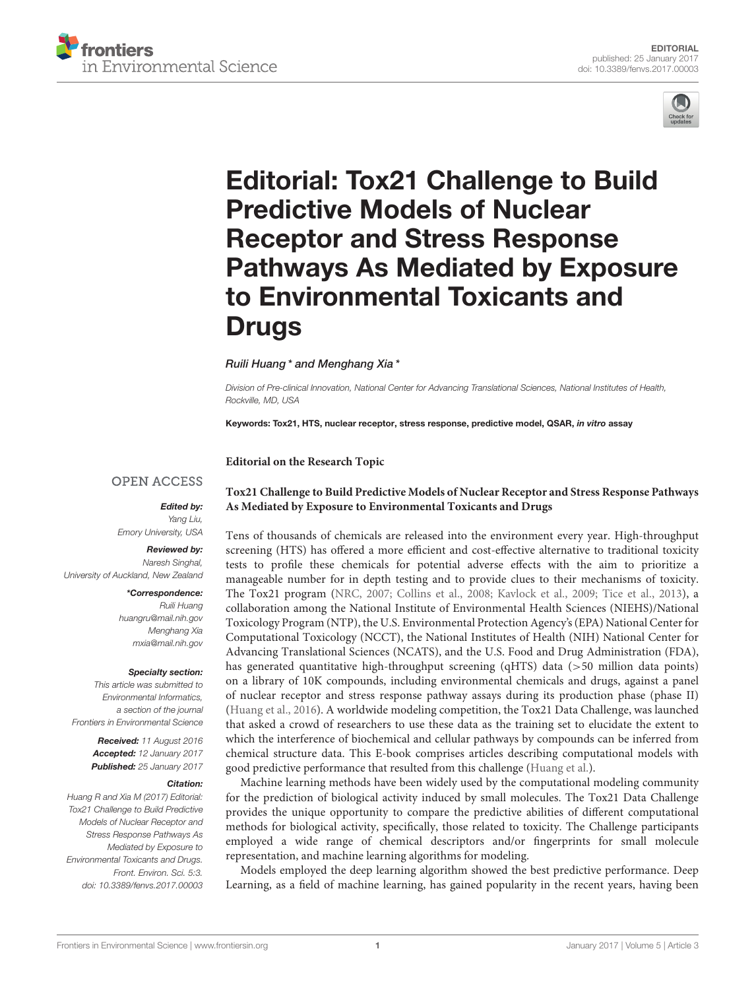



# Editorial: Tox21 Challenge to Build Predictive Models of Nuclear Receptor and Stress Response [Pathways As Mediated by Exposure](http://journal.frontiersin.org/article/10.3389/fenvs.2017.00003/full) to Environmental Toxicants and **Drugs**

### [Ruili Huang](http://loop.frontiersin.org/people/124113/overview)\* and [Menghang Xia](http://loop.frontiersin.org/people/154867/overview)\*

*Division of Pre-clinical Innovation, National Center for Advancing Translational Sciences, National Institutes of Health, Rockville, MD, USA*

Keywords: Tox21, HTS, nuclear receptor, stress response, predictive model, QSAR, in vitro assay

**Editorial on the Research Topic**

## **OPEN ACCESS**

Edited by: *Yang Liu, Emory University, USA*

#### Reviewed by: *Naresh Singhal, University of Auckland, New Zealand*

\*Correspondence: *Ruili Huang [huangru@mail.nih.gov](mailto:huangru@mail.nih.gov) Menghang Xia [mxia@mail.nih.gov](mailto:mxia@mail.nih.gov)*

#### Specialty section:

*This article was submitted to Environmental Informatics, a section of the journal Frontiers in Environmental Science*

> Received: *11 August 2016* Accepted: *12 January 2017* Published: *25 January 2017*

#### Citation:

*Huang R and Xia M (2017) Editorial: Tox21 Challenge to Build Predictive Models of Nuclear Receptor and Stress Response Pathways As Mediated by Exposure to Environmental Toxicants and Drugs. Front. Environ. Sci. 5:3. doi: [10.3389/fenvs.2017.00003](https://doi.org/10.3389/fenvs.2017.00003)*

## **[Tox21 Challenge to Build Predictive Models of Nuclear Receptor and Stress Response Pathways](http://journal.frontiersin.org/researchtopic/2954/tox21-challenge-to-build-predictive-models-of-nuclear-receptor-and-stress-response-pathways-as-media) As Mediated by Exposure to Environmental Toxicants and Drugs**

Tens of thousands of chemicals are released into the environment every year. High-throughput screening (HTS) has offered a more efficient and cost-effective alternative to traditional toxicity tests to profile these chemicals for potential adverse effects with the aim to prioritize a manageable number for in depth testing and to provide clues to their mechanisms of toxicity. The Tox21 program [\(NRC, 2007;](#page-2-0) [Collins et al., 2008;](#page-1-0) [Kavlock et al., 2009;](#page-2-1) [Tice et al., 2013\)](#page-2-2), a collaboration among the National Institute of Environmental Health Sciences (NIEHS)/National Toxicology Program (NTP), the U.S. Environmental Protection Agency's (EPA) National Center for Computational Toxicology (NCCT), the National Institutes of Health (NIH) National Center for Advancing Translational Sciences (NCATS), and the U.S. Food and Drug Administration (FDA), has generated quantitative high-throughput screening (qHTS) data (>50 million data points) on a library of 10K compounds, including environmental chemicals and drugs, against a panel of nuclear receptor and stress response pathway assays during its production phase (phase II) [\(Huang et al., 2016\)](#page-1-1). A worldwide modeling competition, the Tox21 Data Challenge, was launched that asked a crowd of researchers to use these data as the training set to elucidate the extent to which the interference of biochemical and cellular pathways by compounds can be inferred from chemical structure data. This E-book comprises articles describing computational models with good predictive performance that resulted from this challenge [\(Huang et al.\)](https://doi.org/10.3389/fenvs.2015.00085).

Machine learning methods have been widely used by the computational modeling community for the prediction of biological activity induced by small molecules. The Tox21 Data Challenge provides the unique opportunity to compare the predictive abilities of different computational methods for biological activity, specifically, those related to toxicity. The Challenge participants employed a wide range of chemical descriptors and/or fingerprints for small molecule representation, and machine learning algorithms for modeling.

Models employed the deep learning algorithm showed the best predictive performance. Deep Learning, as a field of machine learning, has gained popularity in the recent years, having been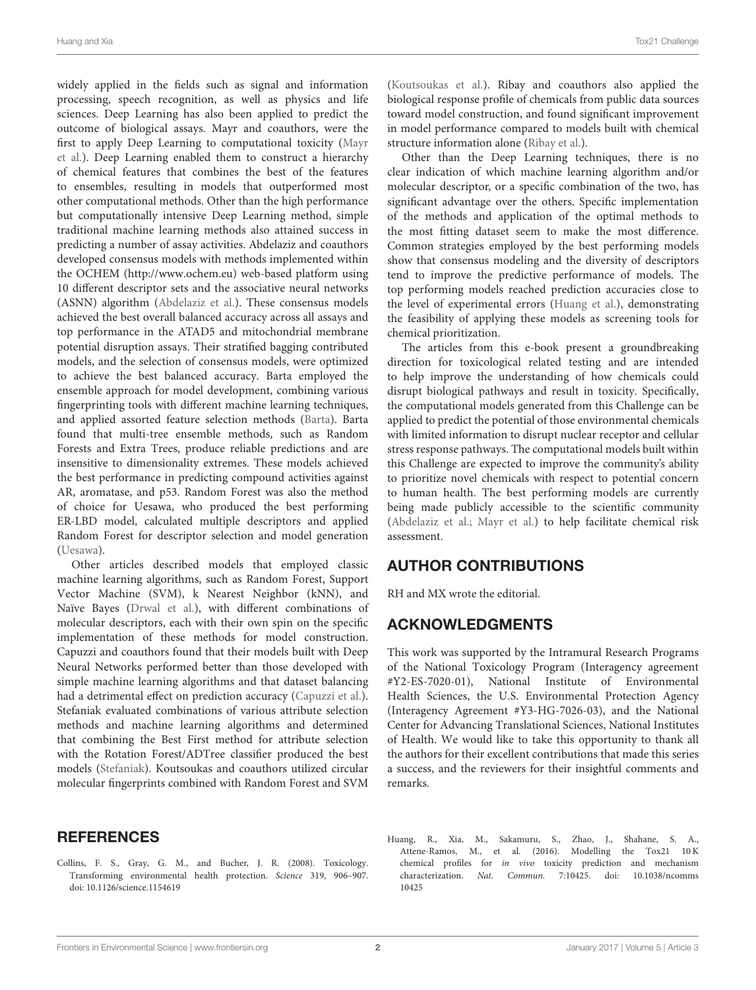Huang and Xia Tox21 Challenge

widely applied in the fields such as signal and information processing, speech recognition, as well as physics and life sciences. Deep Learning has also been applied to predict the outcome of biological assays. Mayr and coauthors, were the first to apply Deep Learning to computational toxicity (Mayr [et al.\). Deep Learning enabled them to construct a hierarchy](https://doi.org/10.3389/fenvs.2015.00080) of chemical features that combines the best of the features to ensembles, resulting in models that outperformed most other computational methods. Other than the high performance but computationally intensive Deep Learning method, simple traditional machine learning methods also attained success in predicting a number of assay activities. Abdelaziz and coauthors developed consensus models with methods implemented within the OCHEM [\(http://www.ochem.eu\)](http://www.ochem.eu) web-based platform using 10 different descriptor sets and the associative neural networks (ASNN) algorithm [\(Abdelaziz et al.\)](https://doi.org/10.3389/fenvs.2016.00002). These consensus models achieved the best overall balanced accuracy across all assays and top performance in the ATAD5 and mitochondrial membrane potential disruption assays. Their stratified bagging contributed models, and the selection of consensus models, were optimized to achieve the best balanced accuracy. Barta employed the ensemble approach for model development, combining various fingerprinting tools with different machine learning techniques, and applied assorted feature selection methods [\(Barta\)](https://doi.org/10.3389/fenvs.2016.00052). Barta found that multi-tree ensemble methods, such as Random Forests and Extra Trees, produce reliable predictions and are insensitive to dimensionality extremes. These models achieved the best performance in predicting compound activities against AR, aromatase, and p53. Random Forest was also the method of choice for Uesawa, who produced the best performing ER-LBD model, calculated multiple descriptors and applied Random Forest for descriptor selection and model generation [\(Uesawa\)](https://doi.org/10.3389/fenvs.2016.00009).

Other articles described models that employed classic machine learning algorithms, such as Random Forest, Support Vector Machine (SVM), k Nearest Neighbor (kNN), and Naïve Bayes [\(Drwal et al.\)](https://doi.org/10.3389/fenvs.2015.00054), with different combinations of molecular descriptors, each with their own spin on the specific implementation of these methods for model construction. Capuzzi and coauthors found that their models built with Deep Neural Networks performed better than those developed with simple machine learning algorithms and that dataset balancing had a detrimental effect on prediction accuracy [\(Capuzzi et al.\)](https://doi.org/10.3389/fenvs.2016.00003). Stefaniak evaluated combinations of various attribute selection methods and machine learning algorithms and determined that combining the Best First method for attribute selection with the Rotation Forest/ADTree classifier produced the best models [\(Stefaniak\)](https://doi.org/10.3389/fenvs.2015.00077). Koutsoukas and coauthors utilized circular molecular fingerprints combined with Random Forest and SVM

## **REFERENCES**

<span id="page-1-0"></span>Collins, F. S., Gray, G. M., and Bucher, J. R. (2008). Toxicology. Transforming environmental health protection. Science 319, 906–907. doi: [10.1126/science.1154619](https://doi.org/10.1126/science.1154619)

[\(Koutsoukas et al.\)](https://doi.org/10.3389/fenvs.2016.00011). Ribay and coauthors also applied the biological response profile of chemicals from public data sources toward model construction, and found significant improvement in model performance compared to models built with chemical structure information alone [\(Ribay et al.\)](https://doi.org/10.3389/fenvs.2016.00012).

Other than the Deep Learning techniques, there is no clear indication of which machine learning algorithm and/or molecular descriptor, or a specific combination of the two, has significant advantage over the others. Specific implementation of the methods and application of the optimal methods to the most fitting dataset seem to make the most difference. Common strategies employed by the best performing models show that consensus modeling and the diversity of descriptors tend to improve the predictive performance of models. The top performing models reached prediction accuracies close to the level of experimental errors [\(Huang et al.\)](https://doi.org/10.3389/fenvs.2015.00085), demonstrating the feasibility of applying these models as screening tools for chemical prioritization.

The articles from this e-book present a groundbreaking direction for toxicological related testing and are intended to help improve the understanding of how chemicals could disrupt biological pathways and result in toxicity. Specifically, the computational models generated from this Challenge can be applied to predict the potential of those environmental chemicals with limited information to disrupt nuclear receptor and cellular stress response pathways. The computational models built within this Challenge are expected to improve the community's ability to prioritize novel chemicals with respect to potential concern to human health. The best performing models are currently being made publicly accessible to the scientific community [\(Abdelaziz et al.;](https://doi.org/10.3389/fenvs.2016.00002) [Mayr et al.\)](https://doi.org/10.3389/fenvs.2015.00080) to help facilitate chemical risk assessment.

# AUTHOR CONTRIBUTIONS

RH and MX wrote the editorial.

# ACKNOWLEDGMENTS

This work was supported by the Intramural Research Programs of the National Toxicology Program (Interagency agreement #Y2-ES-7020-01), National Institute of Environmental Health Sciences, the U.S. Environmental Protection Agency (Interagency Agreement #Y3-HG-7026-03), and the National Center for Advancing Translational Sciences, National Institutes of Health. We would like to take this opportunity to thank all the authors for their excellent contributions that made this series a success, and the reviewers for their insightful comments and remarks.

<span id="page-1-1"></span>Huang, R., Xia, M., Sakamuru, S., Zhao, J., Shahane, S. A., Attene-Ramos, M., et al. (2016). Modelling the Tox21 10 K chemical profiles for in vivo toxicity prediction and mechanism characterization. Nat. Commun. [7:10425. doi: 10.1038/ncomms](https://doi.org/10.1038/ncomms10425) 10425